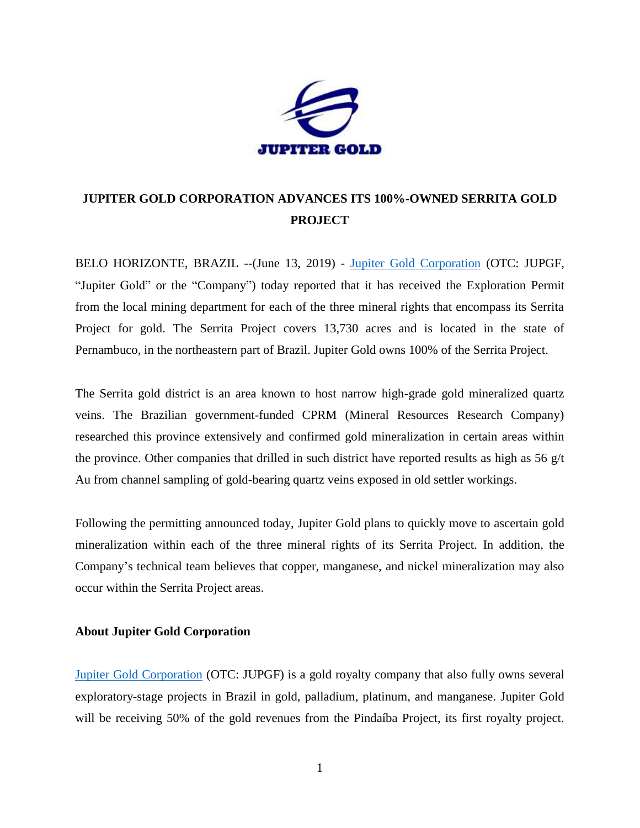

## **JUPITER GOLD CORPORATION ADVANCES ITS 100%-OWNED SERRITA GOLD PROJECT**

BELO HORIZONTE, BRAZIL --(June 13, 2019) - [Jupiter Gold Corporation](http://www.jupitergoldcorp.com/) (OTC: JUPGF, "Jupiter Gold" or the "Company") today reported that it has received the Exploration Permit from the local mining department for each of the three mineral rights that encompass its Serrita Project for gold. The Serrita Project covers 13,730 acres and is located in the state of Pernambuco, in the northeastern part of Brazil. Jupiter Gold owns 100% of the Serrita Project.

The Serrita gold district is an area known to host narrow high-grade gold mineralized quartz veins. The Brazilian government-funded CPRM (Mineral Resources Research Company) researched this province extensively and confirmed gold mineralization in certain areas within the province. Other companies that drilled in such district have reported results as high as  $56 \text{ g/t}$ Au from channel sampling of gold-bearing quartz veins exposed in old settler workings.

Following the permitting announced today, Jupiter Gold plans to quickly move to ascertain gold mineralization within each of the three mineral rights of its Serrita Project. In addition, the Company's technical team believes that copper, manganese, and nickel mineralization may also occur within the Serrita Project areas.

## **About Jupiter Gold Corporation**

[Jupiter Gold Corporation](http://www.jupitergoldcorp.com/) (OTC: JUPGF) is a gold royalty company that also fully owns several exploratory-stage projects in Brazil in gold, palladium, platinum, and manganese. Jupiter Gold will be receiving 50% of the gold revenues from the Pindaíba Project, its first royalty project.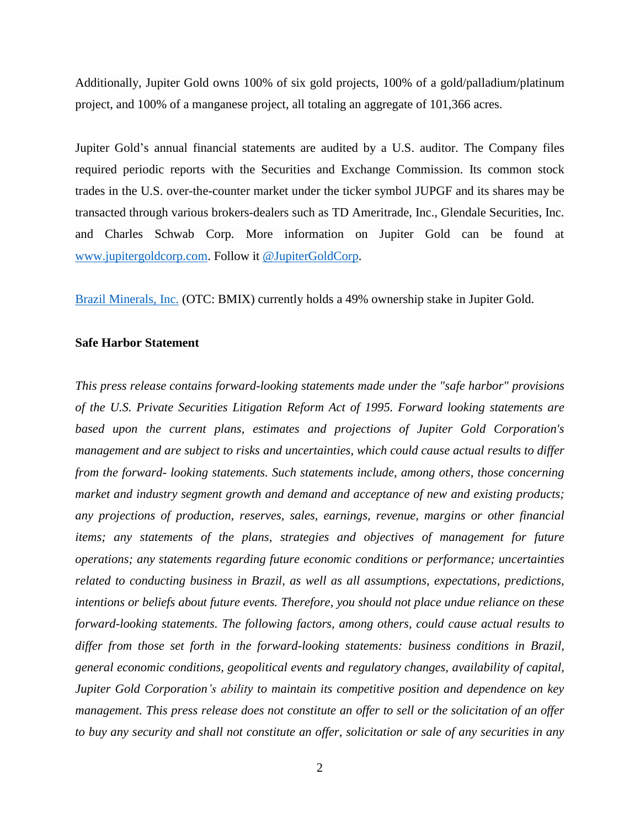Additionally, Jupiter Gold owns 100% of six gold projects, 100% of a gold/palladium/platinum project, and 100% of a manganese project, all totaling an aggregate of 101,366 acres.

Jupiter Gold's annual financial statements are audited by a U.S. auditor. The Company files required periodic reports with the Securities and Exchange Commission. Its common stock trades in the U.S. over-the-counter market under the ticker symbol JUPGF and its shares may be transacted through various brokers-dealers such as TD Ameritrade, Inc., Glendale Securities, Inc. and Charles Schwab Corp. More information on Jupiter Gold can be found at [www.jupitergoldcorp.com.](http://www.jupitergoldcorp.com/) Follow it [@JupiterGoldCorp.](http://www.twitter.com/JupiterGoldCorp)

[Brazil Minerals, Inc.](http://www.twitter.com/BMIXstock) (OTC: BMIX) currently holds a 49% ownership stake in Jupiter Gold.

## **Safe Harbor Statement**

*This press release contains forward-looking statements made under the "safe harbor" provisions of the U.S. Private Securities Litigation Reform Act of 1995. Forward looking statements are based upon the current plans, estimates and projections of Jupiter Gold Corporation's management and are subject to risks and uncertainties, which could cause actual results to differ from the forward- looking statements. Such statements include, among others, those concerning market and industry segment growth and demand and acceptance of new and existing products; any projections of production, reserves, sales, earnings, revenue, margins or other financial items; any statements of the plans, strategies and objectives of management for future operations; any statements regarding future economic conditions or performance; uncertainties related to conducting business in Brazil, as well as all assumptions, expectations, predictions, intentions or beliefs about future events. Therefore, you should not place undue reliance on these forward-looking statements. The following factors, among others, could cause actual results to differ from those set forth in the forward-looking statements: business conditions in Brazil, general economic conditions, geopolitical events and regulatory changes, availability of capital, Jupiter Gold Corporation's ability to maintain its competitive position and dependence on key management. This press release does not constitute an offer to sell or the solicitation of an offer to buy any security and shall not constitute an offer, solicitation or sale of any securities in any*